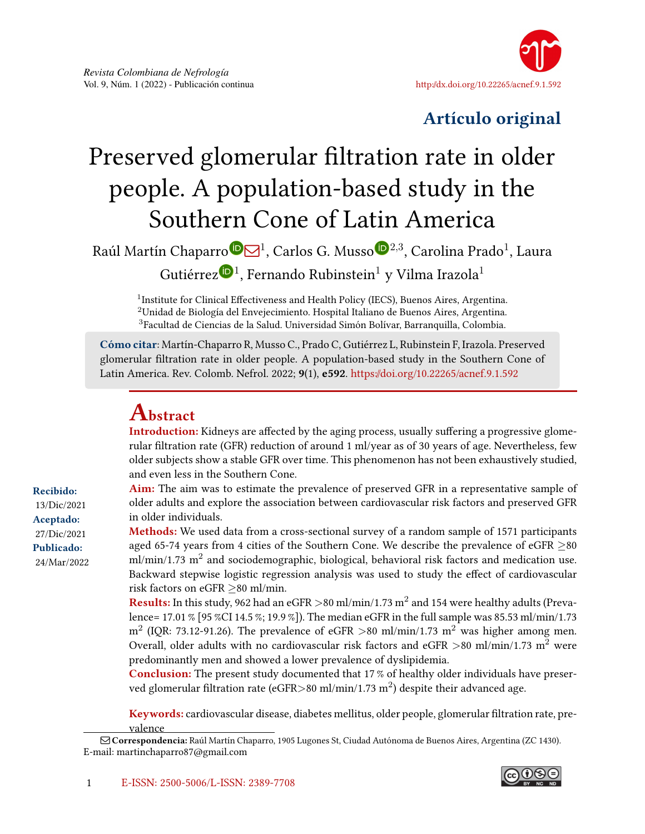

# Artículo original

# Preserved glomerular filtration rate in older people. A population-based study in the Southern Cone of Latin America

Raúl Martín Chaparr[o](https://orcid.org/0000-0001-8666-1130)®⊠<sup>1</sup>, Carlos G. Musso®<sup>2,3</sup>, Carolina Prado<sup>1</sup>, Laura Gutiérre[z](https://orcid.org/0000-0003-2743-7678) $\mathbf{^{0}}$ <sup>1</sup>, Fernando Rubinstein $^{1}$  y Vilma Irazola $^{1}$ 

<sup>1</sup> Institute for Clinical Effectiveness and Health Policy (IECS), Buenos Aires, Argentina.  $2$ Unidad de Biología del Envejecimiento. Hospital Italiano de Buenos Aires, Argentina. <sup>3</sup>Facultad de Ciencias de la Salud. Universidad Simón Bolívar, Barranquilla, Colombia.

Cómo citar: Martín-Chaparro R, Musso C., Prado C, Gutiérrez L, Rubinstein F, Irazola. Preserved glomerular filtration rate in older people. A population-based study in the Southern Cone of Latin America. Rev. Colomb. Nefrol. 2022; 9(1), e592. <https://doi.org/10.22265/acnef.9.1.592>

# Abstract

Introduction: Kidneys are affected by the aging process, usually suffering a progressive glomerular filtration rate (GFR) reduction of around 1 ml/year as of 30 years of age. Nevertheless, few older subjects show a stable GFR over time. This phenomenon has not been exhaustively studied, and even less in the Southern Cone.

Aim: The aim was to estimate the prevalence of preserved GFR in a representative sample of older adults and explore the association between cardiovascular risk factors and preserved GFR in older individuals.

Methods: We used data from a cross-sectional survey of a random sample of 1571 participants aged 65-74 years from 4 cities of the Southern Cone. We describe the prevalence of eGFR ≥80 ml/min/1.73  $\mathrm{m}^2$  and sociodemographic, biological, behavioral risk factors and medication use. Backward stepwise logistic regression analysis was used to study the effect of cardiovascular risk factors on eGFR ≥80 ml/min.

**Results:** In this study, 962 had an eGFR >80 ml/min/1.73  $\mathrm{m}^2$  and 154 were healthy adults (Prevalence= 17.01 % [95 %CI 14.5 %; 19.9 %]). The median eGFR in the full sample was 85.53 ml/min/1.73  $\rm m^2$  (IQR: 73.12-91.26). The prevalence of eGFR >80 ml/min/1.73  $\rm m^2$  was higher among men. Overall, older adults with no cardiovascular risk factors and eGFR  $>80$  ml/min/1.73 m<sup>2</sup> were predominantly men and showed a lower prevalence of dyslipidemia.

Conclusion: The present study documented that 17 % of healthy older individuals have preserved glomerular filtration rate (eGFR $>$ 80 ml/min/1.73 m $^2$ ) despite their advanced age.

Keywords: cardiovascular disease, diabetes mellitus, older people, glomerular filtration rate, prevalence

Recibido: 13/Dic/2021 Aceptado: 27/Dic/2021 Publicado: 24/Mar/2022



Q Correspondencia: Raúl Martín Chaparro, 1905 Lugones St, Ciudad Autónoma de Buenos Aires, Argentina (ZC 1430). E-mail: martinchaparro87@gmail.com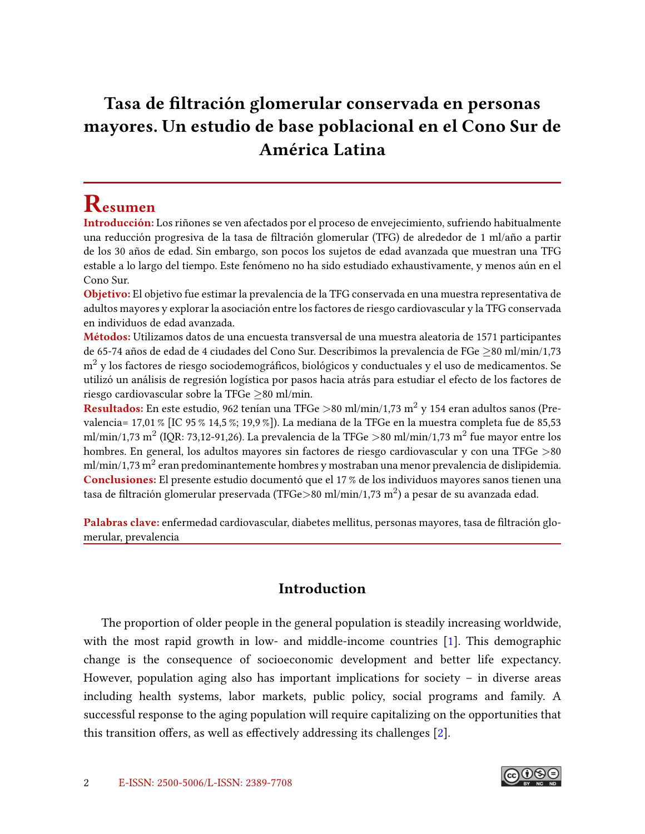# <span id="page-1-0"></span>Tasa de filtración glomerular conservada en personas mayores. Un estudio de base poblacional en el Cono Sur de América Latina

# Resumen

Introducción: Los riñones se ven afectados por el proceso de envejecimiento, sufriendo habitualmente una reducción progresiva de la tasa de filtración glomerular (TFG) de alrededor de 1 ml/año a partir de los 30 años de edad. Sin embargo, son pocos los sujetos de edad avanzada que muestran una TFG estable a lo largo del tiempo. Este fenómeno no ha sido estudiado exhaustivamente, y menos aún en el Cono Sur.

Objetivo: El objetivo fue estimar la prevalencia de la TFG conservada en una muestra representativa de adultos mayores y explorar la asociación entre los factores de riesgo cardiovascular y la TFG conservada en individuos de edad avanzada.

Métodos: Utilizamos datos de una encuesta transversal de una muestra aleatoria de 1571 participantes de 65-74 años de edad de 4 ciudades del Cono Sur. Describimos la prevalencia de FGe ≥80 ml/min/1,73  $m<sup>2</sup>$  y los factores de riesgo sociodemográficos, biológicos y conductuales y el uso de medicamentos. Se utilizó un análisis de regresión logística por pasos hacia atrás para estudiar el efecto de los factores de riesgo cardiovascular sobre la TFGe  $\geq$ 80 ml/min.

Resultados: En este estudio, 962 tenían una TFGe >80 ml/min/1,73 m<sup>2</sup> y 154 eran adultos sanos (Prevalencia= 17,01 % [IC 95 % 14,5 %; 19,9 %]). La mediana de la TFGe en la muestra completa fue de 85,53 ml/min/1,73 m $^2$  (IQR: 73,12-91,26). La prevalencia de la TFGe  $>$ 80 ml/min/1,73 m $^2$  fue mayor entre los hombres. En general, los adultos mayores sin factores de riesgo cardiovascular y con una TFGe >80 ml/min/1,73 m $^2$  eran predominantemente hombres y mostraban una menor prevalencia de dislipidemia. Conclusiones: El presente estudio documentó que el 17 % de los individuos mayores sanos tienen una tasa de filtración glomerular preservada (TFGe $>$ 80 ml/min/1,73 m $^2$ ) a pesar de su avanzada edad.

Palabras clave: enfermedad cardiovascular, diabetes mellitus, personas mayores, tasa de filtración glomerular, prevalencia

# Introduction

The proportion of older people in the general population is steadily increasing worldwide, with the most rapid growth in low- and middle-income countries [\[1\]](#page-11-0). This demographic change is the consequence of socioeconomic development and better life expectancy. However, population aging also has important implications for society – in diverse areas including health systems, labor markets, public policy, social programs and family. A successful response to the aging population will require capitalizing on the opportunities that this transition offers, as well as effectively addressing its challenges  $[2]$ .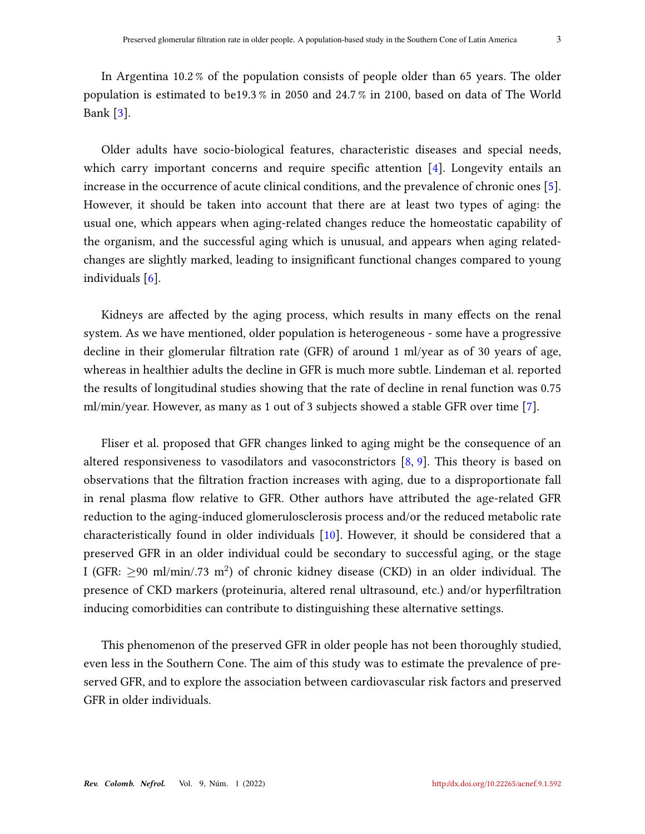<span id="page-2-0"></span>In Argentina 10.2 % of the population consists of people older than 65 years. The older population is estimated to be19.3 % in 2050 and 24.7 % in 2100, based on data of The World Bank [\[3\]](#page-11-2).

Older adults have socio-biological features, characteristic diseases and special needs, which carry important concerns and require specific attention  $[4]$ . Longevity entails an increase in the occurrence of acute clinical conditions, and the prevalence of chronic ones [\[5\]](#page-11-4). However, it should be taken into account that there are at least two types of aging: the usual one, which appears when aging-related changes reduce the homeostatic capability of the organism, and the successful aging which is unusual, and appears when aging relatedchanges are slightly marked, leading to insignificant functional changes compared to young individuals [\[6\]](#page-11-5).

Kidneys are affected by the aging process, which results in many effects on the renal system. As we have mentioned, older population is heterogeneous - some have a progressive decline in their glomerular filtration rate (GFR) of around 1 ml/year as of 30 years of age, whereas in healthier adults the decline in GFR is much more subtle. Lindeman et al. reported the results of longitudinal studies showing that the rate of decline in renal function was 0.75 ml/min/year. However, as many as 1 out of 3 subjects showed a stable GFR over time [\[7\]](#page-11-6).

Fliser et al. proposed that GFR changes linked to aging might be the consequence of an altered responsiveness to vasodilators and vasoconstrictors [\[8,](#page-12-0) [9\]](#page-12-1). This theory is based on observations that the filtration fraction increases with aging, due to a disproportionate fall in renal plasma flow relative to GFR. Other authors have attributed the age-related GFR reduction to the aging-induced glomerulosclerosis process and/or the reduced metabolic rate characteristically found in older individuals [\[10\]](#page-12-2). However, it should be considered that a preserved GFR in an older individual could be secondary to successful aging, or the stage I (GFR:  $\geq$ 90 ml/min/.73 m<sup>2</sup>) of chronic kidney disease (CKD) in an older individual. The presence of CKD markers (proteinuria, altered renal ultrasound, etc.) and/or hyperfiltration inducing comorbidities can contribute to distinguishing these alternative settings.

This phenomenon of the preserved GFR in older people has not been thoroughly studied, even less in the Southern Cone. The aim of this study was to estimate the prevalence of preserved GFR, and to explore the association between cardiovascular risk factors and preserved GFR in older individuals.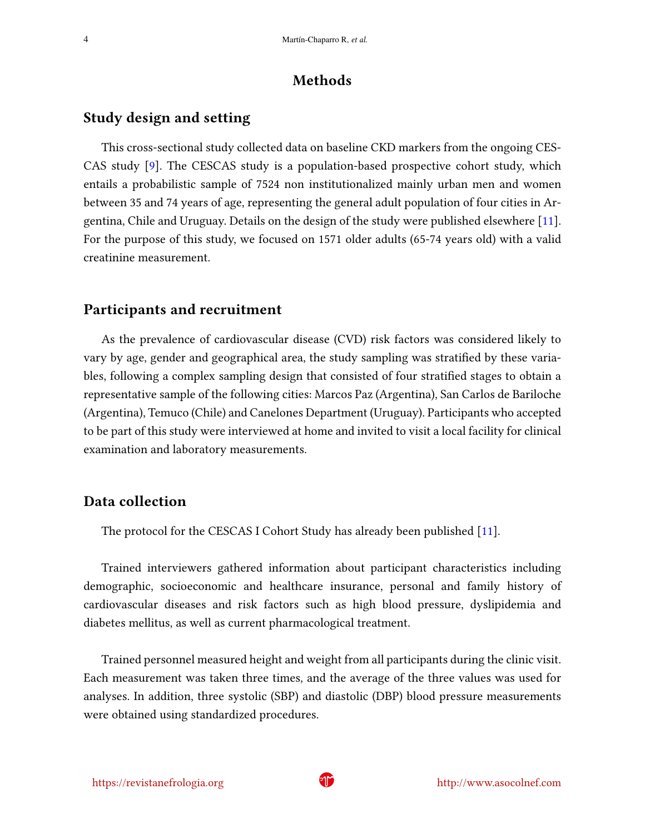#### Methods

#### <span id="page-3-0"></span>Study design and setting

This cross-sectional study collected data on baseline CKD markers from the ongoing CES-CAS study [\[9\]](#page-12-1). The CESCAS study is a population-based prospective cohort study, which entails a probabilistic sample of 7524 non institutionalized mainly urban men and women between 35 and 74 years of age, representing the general adult population of four cities in Argentina, Chile and Uruguay. Details on the design of the study were published elsewhere [\[11\]](#page-12-3). For the purpose of this study, we focused on 1571 older adults (65-74 years old) with a valid creatinine measurement.

#### Participants and recruitment

As the prevalence of cardiovascular disease (CVD) risk factors was considered likely to vary by age, gender and geographical area, the study sampling was stratified by these variables, following a complex sampling design that consisted of four stratified stages to obtain a representative sample of the following cities: Marcos Paz (Argentina), San Carlos de Bariloche (Argentina), Temuco (Chile) and Canelones Department (Uruguay). Participants who accepted to be part of this study were interviewed at home and invited to visit a local facility for clinical examination and laboratory measurements.

#### Data collection

The protocol for the CESCAS I Cohort Study has already been published [\[11\]](#page-12-3).

Trained interviewers gathered information about participant characteristics including demographic, socioeconomic and healthcare insurance, personal and family history of cardiovascular diseases and risk factors such as high blood pressure, dyslipidemia and diabetes mellitus, as well as current pharmacological treatment.

Trained personnel measured height and weight from all participants during the clinic visit. Each measurement was taken three times, and the average of the three values was used for analyses. In addition, three systolic (SBP) and diastolic (DBP) blood pressure measurements were obtained using standardized procedures.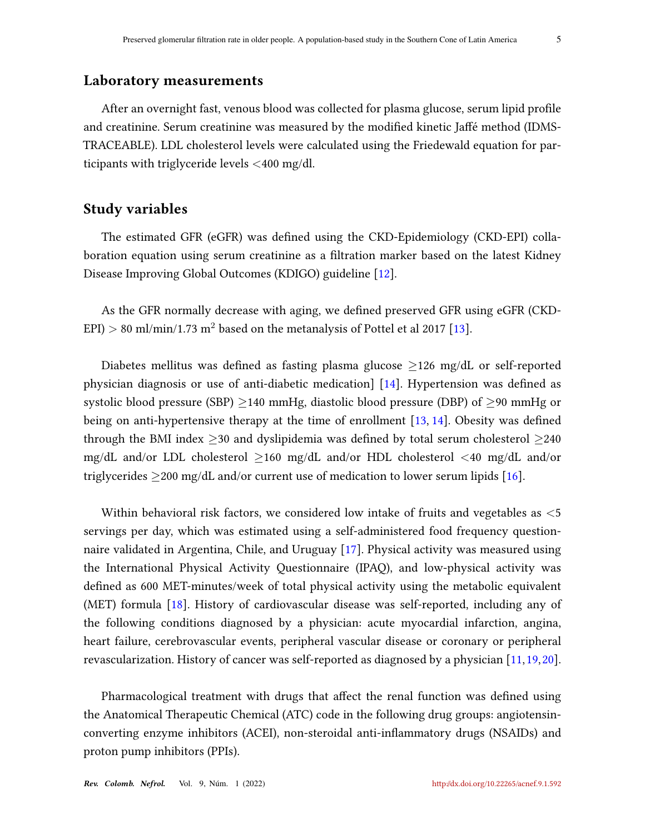#### <span id="page-4-0"></span>Laboratory measurements

After an overnight fast, venous blood was collected for plasma glucose, serum lipid profile and creatinine. Serum creatinine was measured by the modified kinetic Jaffé method (IDMS-TRACEABLE). LDL cholesterol levels were calculated using the Friedewald equation for participants with triglyceride levels <400 mg/dl.

#### Study variables

The estimated GFR (eGFR) was defined using the CKD-Epidemiology (CKD-EPI) collaboration equation using serum creatinine as a filtration marker based on the latest Kidney Disease Improving Global Outcomes (KDIGO) guideline [\[12\]](#page-12-4).

As the GFR normally decrease with aging, we defined preserved GFR using eGFR (CKD-EPI) > 80 ml/min/1.73 m<sup>2</sup> based on the metanalysis of Pottel et al 2017 [\[13\]](#page-12-5).

Diabetes mellitus was defined as fasting plasma glucose  $\geq$ 126 mg/dL or self-reported physician diagnosis or use of anti-diabetic medication]  $[14]$ . Hypertension was defined as systolic blood pressure (SBP)  $\geq$ 140 mmHg, diastolic blood pressure (DBP) of  $\geq$ 90 mmHg or being on anti-hypertensive therapy at the time of enrollment  $[13, 14]$  $[13, 14]$  $[13, 14]$ . Obesity was defined through the BMI index  $\geq$ 30 and dyslipidemia was defined by total serum cholesterol  $\geq$ 240 mg/dL and/or LDL cholesterol ≥160 mg/dL and/or HDL cholesterol <40 mg/dL and/or triglycerides  $\geq$ 200 mg/dL and/or current use of medication to lower serum lipids [\[16\]](#page-12-7).

Within behavioral risk factors, we considered low intake of fruits and vegetables as  $\lt 5$ servings per day, which was estimated using a self-administered food frequency questionnaire validated in Argentina, Chile, and Uruguay [\[17\]](#page-12-8). Physical activity was measured using the International Physical Activity Questionnaire (IPAQ), and low-physical activity was defined as 600 MET-minutes/week of total physical activity using the metabolic equivalent (MET) formula [\[18\]](#page-13-0). History of cardiovascular disease was self-reported, including any of the following conditions diagnosed by a physician: acute myocardial infarction, angina, heart failure, cerebrovascular events, peripheral vascular disease or coronary or peripheral revascularization. History of cancer was self-reported as diagnosed by a physician [\[11,](#page-12-3)[19,](#page-13-1)[20\]](#page-13-2).

Pharmacological treatment with drugs that affect the renal function was defined using the Anatomical Therapeutic Chemical (ATC) code in the following drug groups: angiotensinconverting enzyme inhibitors (ACEI), non-steroidal anti-inflammatory drugs (NSAIDs) and proton pump inhibitors (PPIs).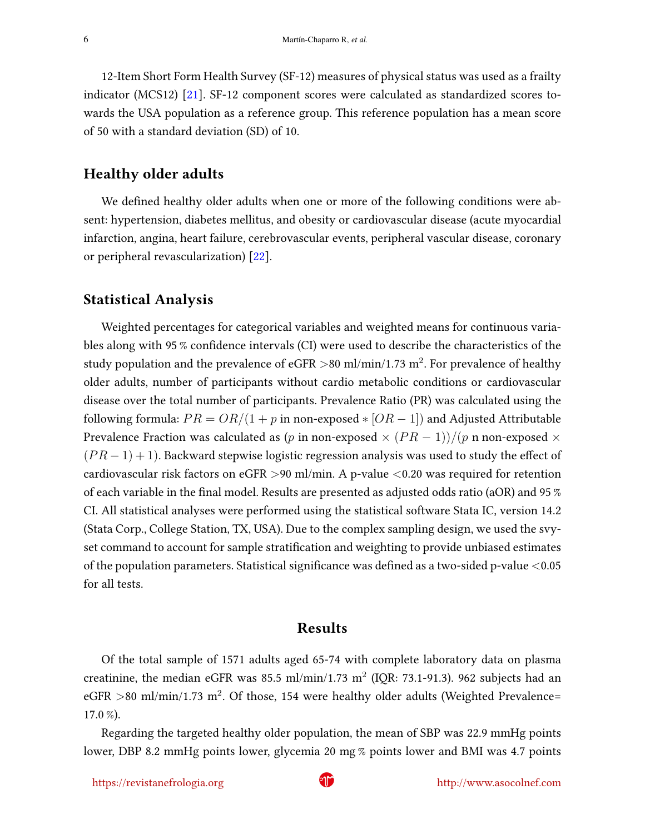<span id="page-5-0"></span>12-Item Short Form Health Survey (SF-12) measures of physical status was used as a frailty indicator (MCS12) [\[21\]](#page-13-3). SF-12 component scores were calculated as standardized scores towards the USA population as a reference group. This reference population has a mean score of 50 with a standard deviation (SD) of 10.

#### Healthy older adults

We defined healthy older adults when one or more of the following conditions were absent: hypertension, diabetes mellitus, and obesity or cardiovascular disease (acute myocardial infarction, angina, heart failure, cerebrovascular events, peripheral vascular disease, coronary or peripheral revascularization) [\[22\]](#page-13-4).

#### Statistical Analysis

Weighted percentages for categorical variables and weighted means for continuous variables along with 95 % confidence intervals (CI) were used to describe the characteristics of the study population and the prevalence of eGFR  $>$ 80 ml/min/1.73 m $^2$ . For prevalence of healthy older adults, number of participants without cardio metabolic conditions or cardiovascular disease over the total number of participants. Prevalence Ratio (PR) was calculated using the following formula:  $PR = OR/(1 + p$  in non-exposed  $\ast$  [OR – 1]) and Adjusted Attributable Prevalence Fraction was calculated as (p in non-exposed  $\times (PR-1)/(p$  n non-exposed  $\times$  $(PR-1) + 1$ ). Backward stepwise logistic regression analysis was used to study the effect of cardiovascular risk factors on eGFR >90 ml/min. A p-value <0.20 was required for retention of each variable in the final model. Results are presented as adjusted odds ratio (aOR) and 95  $\%$ CI. All statistical analyses were performed using the statistical software Stata IC, version 14.2 (Stata Corp., College Station, TX, USA). Due to the complex sampling design, we used the svyset command to account for sample stratification and weighting to provide unbiased estimates of the population parameters. Statistical significance was defined as a two-sided p-value  $<$  0.05 for all tests.

#### Results

Of the total sample of 1571 adults aged 65-74 with complete laboratory data on plasma creatinine, the median eGFR was 85.5 ml/min/1.73 m<sup>2</sup> (IQR: 73.1-91.3). 962 subjects had an eGFR >80 ml/min/1.73 m<sup>2</sup>. Of those, 154 were healthy older adults (Weighted Prevalence= 17.0 %).

Regarding the targeted healthy older population, the mean of SBP was 22.9 mmHg points lower, DBP 8.2 mmHg points lower, glycemia 20 mg % points lower and BMI was 4.7 points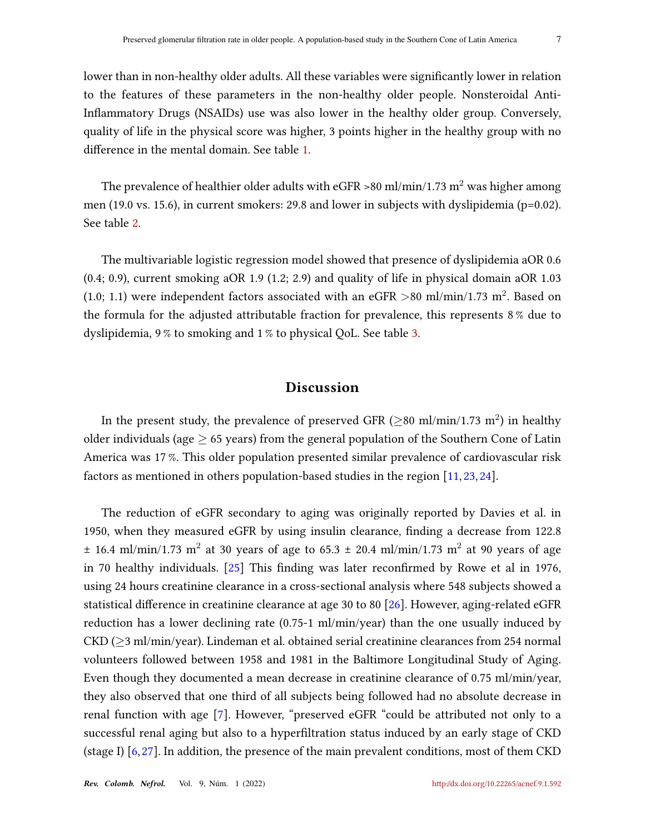<span id="page-6-0"></span>lower than in non-healthy older adults. All these variables were significantly lower in relation to the features of these parameters in the non-healthy older people. Nonsteroidal Anti-Inflammatory Drugs (NSAIDs) use was also lower in the healthy older group. Conversely, quality of life in the physical score was higher, 3 points higher in the healthy group with no difference in the mental domain. See table [1.](#page-7-0)

The prevalence of healthier older adults with eGFR >80 ml/min/1.73 m<sup>2</sup> was higher among men (19.0 vs. 15.6), in current smokers: 29.8 and lower in subjects with dyslipidemia (p=0.02). See table [2.](#page-8-0)

The multivariable logistic regression model showed that presence of dyslipidemia aOR 0.6 (0.4; 0.9), current smoking aOR 1.9 (1.2; 2.9) and quality of life in physical domain aOR 1.03 (1.0; 1.1) were independent factors associated with an eGFR >80 ml/min/1.73 m<sup>2</sup>. Based on the formula for the adjusted attributable fraction for prevalence, this represents 8 % due to dyslipidemia, 9 % to smoking and 1 % to physical QoL. See table [3.](#page-9-0)

#### Discussion

In the present study, the prevalence of preserved GFR ( $\geq$ 80 ml/min/1.73 m $^2$ ) in healthy older individuals (age  $\geq$  65 years) from the general population of the Southern Cone of Latin America was 17 %. This older population presented similar prevalence of cardiovascular risk factors as mentioned in others population-based studies in the region [\[11,](#page-12-3) [23,](#page-13-5) [24\]](#page-13-6).

The reduction of eGFR secondary to aging was originally reported by Davies et al. in 1950, when they measured eGFR by using insulin clearance, finding a decrease from 122.8  $\pm$  16.4 ml/min/1.73 m<sup>2</sup> at 30 years of age to 65.3  $\pm$  20.4 ml/min/1.73 m<sup>2</sup> at 90 years of age in 70 healthy individuals.  $[25]$  This finding was later reconfirmed by Rowe et al in 1976, using 24 hours creatinine clearance in a cross-sectional analysis where 548 subjects showed a statistical difference in creatinine clearance at age 30 to 80 [\[26\]](#page-13-8). However, aging-related eGFR reduction has a lower declining rate (0.75-1 ml/min/year) than the one usually induced by CKD ( $\geq$ 3 ml/min/year). Lindeman et al. obtained serial creatinine clearances from 254 normal volunteers followed between 1958 and 1981 in the Baltimore Longitudinal Study of Aging. Even though they documented a mean decrease in creatinine clearance of 0.75 ml/min/year, they also observed that one third of all subjects being followed had no absolute decrease in renal function with age [\[7\]](#page-11-6). However, "preserved eGFR "could be attributed not only to a successful renal aging but also to a hyperfiltration status induced by an early stage of CKD (stage I) [\[6,](#page-11-5)[27\]](#page-13-9). In addition, the presence of the main prevalent conditions, most of them CKD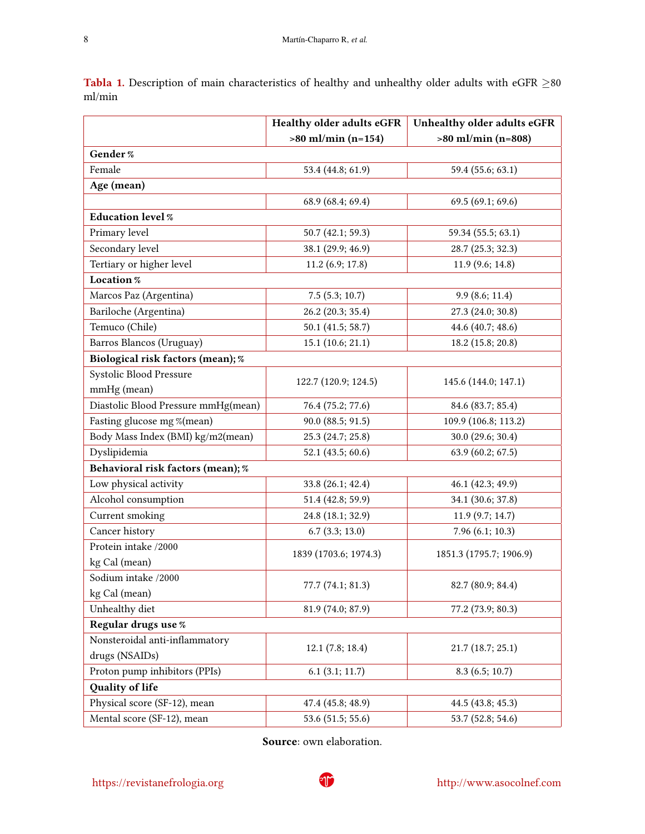|                                     | Healthy older adults eGFR | Unhealthy older adults eGFR |  |  |
|-------------------------------------|---------------------------|-----------------------------|--|--|
|                                     | $>80$ ml/min (n=154)      | $>80$ ml/min (n=808)        |  |  |
| Gender %                            |                           |                             |  |  |
| Female                              | 53.4 (44.8; 61.9)         | 59.4 (55.6; 63.1)           |  |  |
| Age (mean)                          |                           |                             |  |  |
|                                     | 68.9 (68.4; 69.4)         | 69.5 (69.1; 69.6)           |  |  |
| <b>Education level %</b>            |                           |                             |  |  |
| Primary level                       | 50.7 (42.1; 59.3)         | 59.34 (55.5; 63.1)          |  |  |
| Secondary level                     | 38.1 (29.9; 46.9)         | 28.7 (25.3; 32.3)           |  |  |
| Tertiary or higher level            | 11.2 (6.9; 17.8)          | 11.9 (9.6; 14.8)            |  |  |
| Location %                          |                           |                             |  |  |
| Marcos Paz (Argentina)              | $7.5$ $(5.3; 10.7)$       | 9.9(8.6; 11.4)              |  |  |
| Bariloche (Argentina)               | 26.2 (20.3; 35.4)         | 27.3 (24.0; 30.8)           |  |  |
| Temuco (Chile)                      | 50.1 (41.5; 58.7)         | 44.6 (40.7; 48.6)           |  |  |
| Barros Blancos (Uruguay)            | 15.1 (10.6; 21.1)         | 18.2 (15.8; 20.8)           |  |  |
| Biological risk factors (mean); %   |                           |                             |  |  |
| Systolic Blood Pressure             |                           | 145.6 (144.0; 147.1)        |  |  |
| mmHg (mean)                         | 122.7 (120.9; 124.5)      |                             |  |  |
| Diastolic Blood Pressure mmHg(mean) | 76.4 (75.2; 77.6)         | 84.6 (83.7; 85.4)           |  |  |
| Fasting glucose mg %(mean)          | 90.0 (88.5; 91.5)         | 109.9 (106.8; 113.2)        |  |  |
| Body Mass Index (BMI) kg/m2(mean)   | 25.3 (24.7; 25.8)         | 30.0 (29.6; 30.4)           |  |  |
| Dyslipidemia                        | 52.1 (43.5; 60.6)         | 63.9 (60.2; 67.5)           |  |  |
| Behavioral risk factors (mean); %   |                           |                             |  |  |
| Low physical activity               | 33.8 (26.1; 42.4)         | 46.1 (42.3; 49.9)           |  |  |
| Alcohol consumption                 | 51.4 (42.8; 59.9)         | 34.1 (30.6; 37.8)           |  |  |
| Current smoking                     | 24.8 (18.1; 32.9)         | 11.9(9.7; 14.7)             |  |  |
| Cancer history                      | 6.7(3.3; 13.0)            | 7.96(6.1; 10.3)             |  |  |
| Protein intake /2000                | 1839 (1703.6; 1974.3)     | 1851.3 (1795.7; 1906.9)     |  |  |
| kg Cal (mean)                       |                           |                             |  |  |
| Sodium intake /2000                 | 77.7 (74.1; 81.3)         | 82.7 (80.9; 84.4)           |  |  |
| kg Cal (mean)                       |                           |                             |  |  |
| Unhealthy diet                      | 81.9 (74.0; 87.9)         | 77.2 (73.9; 80.3)           |  |  |
| Regular drugs use %                 |                           |                             |  |  |
| Nonsteroidal anti-inflammatory      | 12.1 (7.8; 18.4)          | 21.7 (18.7; 25.1)           |  |  |
| drugs (NSAIDs)                      |                           |                             |  |  |
| Proton pump inhibitors (PPIs)       | 6.1(3.1; 11.7)            | 8.3(6.5; 10.7)              |  |  |
| Quality of life                     |                           |                             |  |  |
| Physical score (SF-12), mean        | 47.4 (45.8; 48.9)         | 44.5 (43.8; 45.3)           |  |  |
| Mental score (SF-12), mean          | 53.6 (51.5; 55.6)         | 53.7 (52.8; 54.6)           |  |  |

<span id="page-7-0"></span>Tabla 1. Description of main characteristics of healthy and unhealthy older adults with eGFR  $\geq$ 80 ml/min

Source: own elaboration.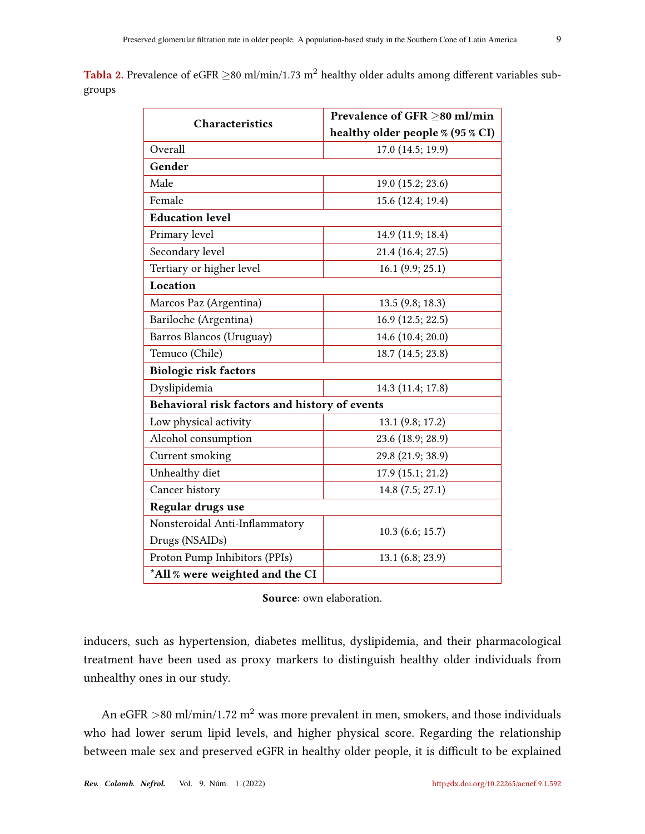<span id="page-8-0"></span>Tabla 2. Prevalence of eGFR  $\geq$ 80 ml/min/1.73 m<sup>2</sup> healthy older adults among different variables subgroups

| <b>Characteristics</b>                        | Prevalence of GFR ≥80 ml/min     |  |  |  |  |
|-----------------------------------------------|----------------------------------|--|--|--|--|
|                                               | healthy older people % (95 % CI) |  |  |  |  |
| Overall                                       | 17.0 (14.5; 19.9)                |  |  |  |  |
| Gender                                        |                                  |  |  |  |  |
| Male                                          | 19.0 (15.2; 23.6)                |  |  |  |  |
| Female                                        | 15.6 (12.4; 19.4)                |  |  |  |  |
| <b>Education level</b>                        |                                  |  |  |  |  |
| Primary level                                 | 14.9 (11.9; 18.4)                |  |  |  |  |
| Secondary level                               | 21.4 (16.4; 27.5)                |  |  |  |  |
| Tertiary or higher level                      | 16.1 (9.9; 25.1)                 |  |  |  |  |
| Location                                      |                                  |  |  |  |  |
| Marcos Paz (Argentina)                        | 13.5(9.8; 18.3)                  |  |  |  |  |
| Bariloche (Argentina)                         | 16.9 (12.5; 22.5)                |  |  |  |  |
| Barros Blancos (Uruguay)                      | 14.6 (10.4; 20.0)                |  |  |  |  |
| Temuco (Chile)                                | 18.7 (14.5; 23.8)                |  |  |  |  |
| <b>Biologic risk factors</b>                  |                                  |  |  |  |  |
| Dyslipidemia                                  | 14.3 (11.4; 17.8)                |  |  |  |  |
| Behavioral risk factors and history of events |                                  |  |  |  |  |
| Low physical activity                         | 13.1 (9.8; 17.2)                 |  |  |  |  |
| Alcohol consumption                           | 23.6 (18.9; 28.9)                |  |  |  |  |
| Current smoking                               | 29.8 (21.9; 38.9)                |  |  |  |  |
| Unhealthy diet                                | 17.9 (15.1; 21.2)                |  |  |  |  |
| Cancer history                                | 14.8 (7.5; 27.1)                 |  |  |  |  |
| Regular drugs use                             |                                  |  |  |  |  |
| Nonsteroidal Anti-Inflammatory                | 10.3 (6.6; 15.7)                 |  |  |  |  |
| Drugs (NSAIDs)                                |                                  |  |  |  |  |
| Proton Pump Inhibitors (PPIs)                 | 13.1 (6.8; 23.9)                 |  |  |  |  |
| *All % were weighted and the CI               |                                  |  |  |  |  |

Source: own elaboration.

inducers, such as hypertension, diabetes mellitus, dyslipidemia, and their pharmacological treatment have been used as proxy markers to distinguish healthy older individuals from unhealthy ones in our study.

An eGFR  $>$ 80 ml/min/1.72 m<sup>2</sup> was more prevalent in men, smokers, and those individuals who had lower serum lipid levels, and higher physical score. Regarding the relationship between male sex and preserved eGFR in healthy older people, it is difficult to be explained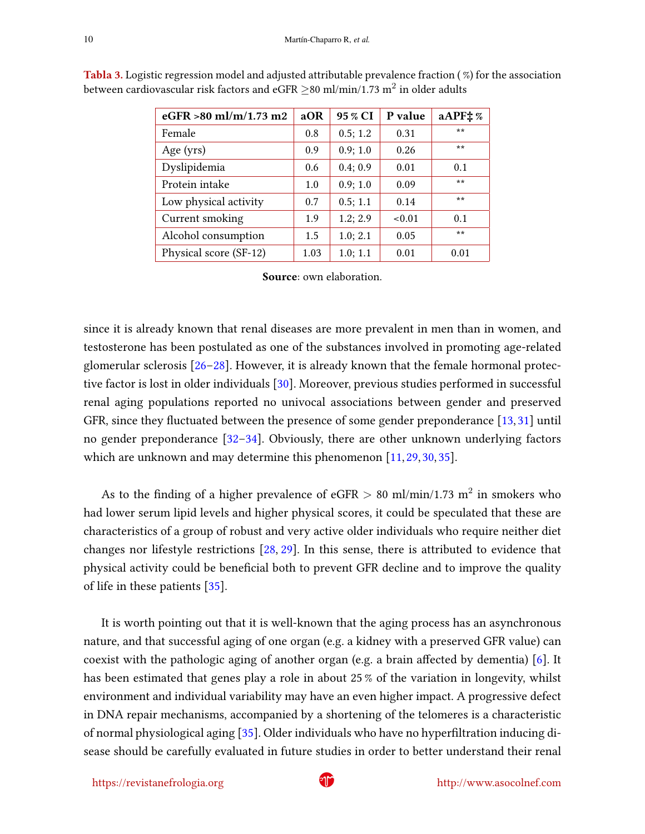| eGFR $>80$ ml/m/1.73 m2 | aOR  | 95 % CI  | P value | aAPF: % |
|-------------------------|------|----------|---------|---------|
| Female                  | 0.8  | 0.5; 1.2 | 0.31    | $***$   |
| Age $(yrs)$             | 0.9  | 0.9; 1.0 | 0.26    | $***$   |
| Dyslipidemia            | 0.6  | 0.4; 0.9 | 0.01    | 0.1     |
| Protein intake          | 1.0  | 0.9; 1.0 | 0.09    | $***$   |
| Low physical activity   | 0.7  | 0.5; 1.1 | 0.14    | $***$   |
| Current smoking         | 1.9  | 1.2; 2.9 | < 0.01  | 0.1     |
| Alcohol consumption     | 1.5  | 1.0; 2.1 | 0.05    | $***$   |
| Physical score (SF-12)  | 1.03 | 1.0; 1.1 | 0.01    | 0.01    |

<span id="page-9-1"></span><span id="page-9-0"></span>Tabla 3. Logistic regression model and adjusted attributable prevalence fraction ( %) for the association between cardiovascular risk factors and eGFR  ${\geq}$ 80 ml/min/1.73 m $^2$  in older adults

Source: own elaboration.

since it is already known that renal diseases are more prevalent in men than in women, and testosterone has been postulated as one of the substances involved in promoting age-related glomerular sclerosis [\[26–](#page-13-8)[28\]](#page-14-0). However, it is already known that the female hormonal protec-tive factor is lost in older individuals [\[30\]](#page-14-1). Moreover, previous studies performed in successful renal aging populations reported no univocal associations between gender and preserved GFR, since they fluctuated between the presence of some gender preponderance  $[13, 31]$  $[13, 31]$  $[13, 31]$  until no gender preponderance [\[32–](#page-14-3)[34\]](#page-14-4). Obviously, there are other unknown underlying factors which are unknown and may determine this phenomenon [\[11,](#page-12-3) [29,](#page-14-5) [30,](#page-14-1) [35\]](#page-14-6).

As to the finding of a higher prevalence of eGFR  $>$  80 ml/min/1.73 m<sup>2</sup> in smokers who had lower serum lipid levels and higher physical scores, it could be speculated that these are characteristics of a group of robust and very active older individuals who require neither diet changes nor lifestyle restrictions [\[28,](#page-14-0) [29\]](#page-14-5). In this sense, there is attributed to evidence that physical activity could be beneficial both to prevent GFR decline and to improve the quality of life in these patients  $[35]$ .

It is worth pointing out that it is well-known that the aging process has an asynchronous nature, and that successful aging of one organ (e.g. a kidney with a preserved GFR value) can coexist with the pathologic aging of another organ (e.g. a brain affected by dementia)  $[6]$ . It has been estimated that genes play a role in about 25 % of the variation in longevity, whilst environment and individual variability may have an even higher impact. A progressive defect in DNA repair mechanisms, accompanied by a shortening of the telomeres is a characteristic of normal physiological aging [\[35\]](#page-14-6). Older individuals who have no hyperfiltration inducing disease should be carefully evaluated in future studies in order to better understand their renal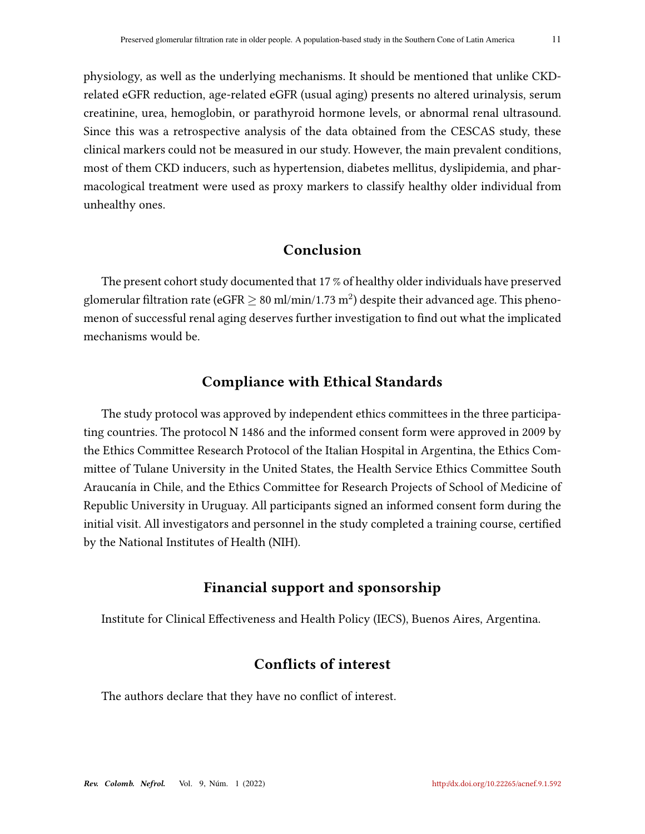physiology, as well as the underlying mechanisms. It should be mentioned that unlike CKDrelated eGFR reduction, age-related eGFR (usual aging) presents no altered urinalysis, serum creatinine, urea, hemoglobin, or parathyroid hormone levels, or abnormal renal ultrasound. Since this was a retrospective analysis of the data obtained from the CESCAS study, these clinical markers could not be measured in our study. However, the main prevalent conditions, most of them CKD inducers, such as hypertension, diabetes mellitus, dyslipidemia, and pharmacological treatment were used as proxy markers to classify healthy older individual from unhealthy ones.

### Conclusion

The present cohort study documented that 17 % of healthy older individuals have preserved glomerular filtration rate (eGFR  $\geq$  80 ml/min/1.73 m $^2$ ) despite their advanced age. This phenomenon of successful renal aging deserves further investigation to find out what the implicated mechanisms would be.

#### Compliance with Ethical Standards

The study protocol was approved by independent ethics committees in the three participating countries. The protocol N 1486 and the informed consent form were approved in 2009 by the Ethics Committee Research Protocol of the Italian Hospital in Argentina, the Ethics Committee of Tulane University in the United States, the Health Service Ethics Committee South Araucanía in Chile, and the Ethics Committee for Research Projects of School of Medicine of Republic University in Uruguay. All participants signed an informed consent form during the initial visit. All investigators and personnel in the study completed a training course, certified by the National Institutes of Health (NIH).

### Financial support and sponsorship

Institute for Clinical Effectiveness and Health Policy (IECS), Buenos Aires, Argentina.

### Conflicts of interest

The authors declare that they have no conflict of interest.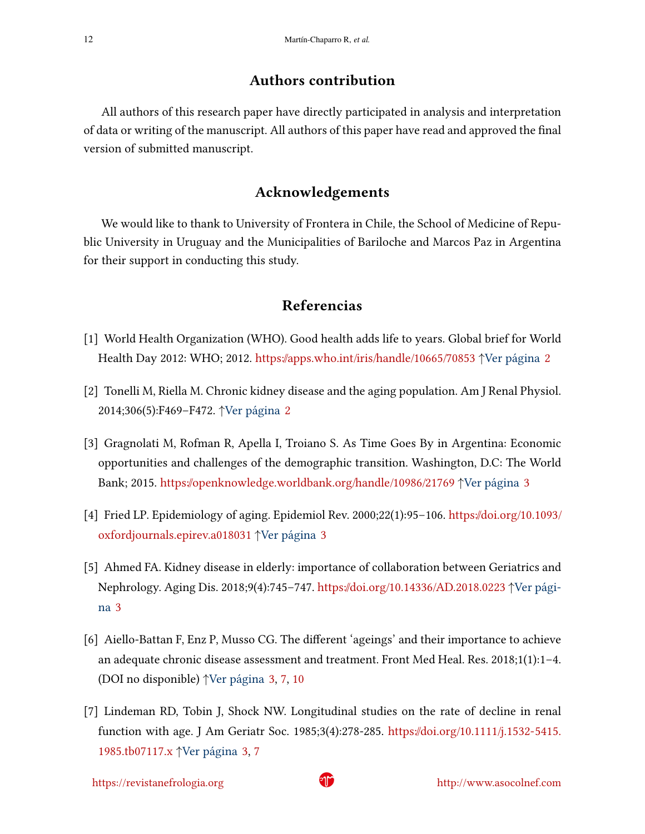#### Authors contribution

All authors of this research paper have directly participated in analysis and interpretation of data or writing of the manuscript. All authors of this paper have read and approved the final version of submitted manuscript.

## Acknowledgements

We would like to thank to University of Frontera in Chile, the School of Medicine of Republic University in Uruguay and the Municipalities of Bariloche and Marcos Paz in Argentina for their support in conducting this study.

### Referencias

- <span id="page-11-0"></span>[1] World Health Organization (WHO). Good health adds life to years. Global brief for World Health Day 2012: WHO; 2012. <https://apps.who.int/iris/handle/10665/70853> ↑Ver página [2](#page-1-0)
- <span id="page-11-1"></span>[2] Tonelli M, Riella M. Chronic kidney disease and the aging population. Am J Renal Physiol. 2014;306(5):F469–F472. ↑Ver página [2](#page-1-0)
- <span id="page-11-2"></span>[3] Gragnolati M, Rofman R, Apella I, Troiano S. As Time Goes By in Argentina: Economic opportunities and challenges of the demographic transition. Washington, D.C: The World Bank; 2015. <https://openknowledge.worldbank.org/handle/10986/21769> ↑Ver página [3](#page-2-0)
- <span id="page-11-3"></span>[4] Fried LP. Epidemiology of aging. Epidemiol Rev. 2000;22(1):95–106. [https://doi.org/10.1093/](https://doi.org/10.1093/oxfordjournals.epirev.a018031) [oxfordjournals.epirev.a018031](https://doi.org/10.1093/oxfordjournals.epirev.a018031) ↑Ver página [3](#page-2-0)
- <span id="page-11-4"></span>[5] Ahmed FA. Kidney disease in elderly: importance of collaboration between Geriatrics and Nephrology. Aging Dis. 2018;9(4):745–747. <https://doi.org/10.14336/AD.2018.0223> ↑Ver página [3](#page-2-0)
- <span id="page-11-5"></span>[6] Aiello-Battan F, Enz P, Musso CG. The different 'ageings' and their importance to achieve an adequate chronic disease assessment and treatment. Front Med Heal. Res. 2018;1(1):1–4. (DOI no disponible) ↑Ver página [3,](#page-2-0) [7,](#page-6-0) [10](#page-9-1)
- <span id="page-11-6"></span>[7] Lindeman RD, Tobin J, Shock NW. Longitudinal studies on the rate of decline in renal function with age. J Am Geriatr Soc. 1985;3(4):278-285. [https://doi.org/10.1111/j.1532-5415.](https://doi.org/10.1111/j.1532-5415.1985.tb07117.x) [1985.tb07117.x](https://doi.org/10.1111/j.1532-5415.1985.tb07117.x) ↑Ver página [3,](#page-2-0) [7](#page-6-0)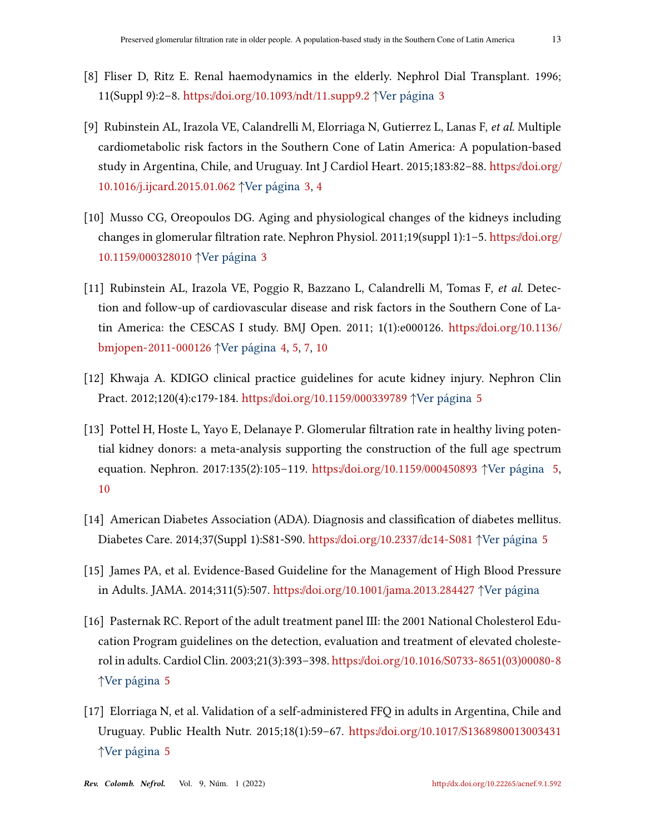- <span id="page-12-0"></span>[8] Fliser D, Ritz E. Renal haemodynamics in the elderly. Nephrol Dial Transplant. 1996; 11(Suppl 9):2–8. <https://doi.org/10.1093/ndt/11.supp9.2> ↑Ver página [3](#page-2-0)
- <span id="page-12-1"></span>[9] Rubinstein AL, Irazola VE, Calandrelli M, Elorriaga N, Gutierrez L, Lanas F, et al. Multiple cardiometabolic risk factors in the Southern Cone of Latin America: A population-based study in Argentina, Chile, and Uruguay. Int J Cardiol Heart. 2015;183:82–88. [https://doi.org/](https://doi.org/10.1016/j.ijcard.2015.01.062) [10.1016/j.ijcard.2015.01.062](https://doi.org/10.1016/j.ijcard.2015.01.062) ↑Ver página [3,](#page-2-0) [4](#page-3-0)
- <span id="page-12-2"></span>[10] Musso CG, Oreopoulos DG. Aging and physiological changes of the kidneys including changes in glomerular filtration rate. Nephron Physiol. 2011;19(suppl 1):1-5. [https://doi.org/](https://doi.org/10.1159/000328010) [10.1159/000328010](https://doi.org/10.1159/000328010) ↑Ver página [3](#page-2-0)
- <span id="page-12-3"></span>[11] Rubinstein AL, Irazola VE, Poggio R, Bazzano L, Calandrelli M, Tomas F, et al. Detection and follow-up of cardiovascular disease and risk factors in the Southern Cone of Latin America: the CESCAS I study. BMJ Open. 2011; 1(1):e000126. [https://doi.org/10.1136/](https://doi.org/10.1136/bmjopen-2011-000126) [bmjopen-2011-000126](https://doi.org/10.1136/bmjopen-2011-000126) ↑Ver página [4,](#page-3-0) [5,](#page-4-0) [7,](#page-6-0) [10](#page-9-1)
- <span id="page-12-4"></span>[12] Khwaja A. KDIGO clinical practice guidelines for acute kidney injury. Nephron Clin Pract. 2012;120(4):c179-184. <https://doi.org/10.1159/000339789> ↑Ver página [5](#page-4-0)
- <span id="page-12-5"></span>[13] Pottel H, Hoste L, Yayo E, Delanaye P. Glomerular filtration rate in healthy living potential kidney donors: a meta-analysis supporting the construction of the full age spectrum equation. Nephron. 2017:135(2):105–119. <https://doi.org/10.1159/000450893> ↑ Ver página [5,](#page-4-0) [10](#page-9-1)
- <span id="page-12-6"></span>[14] American Diabetes Association (ADA). Diagnosis and classification of diabetes mellitus. Diabetes Care. 2014;37(Suppl 1):S81-S90. <https://doi.org/10.2337/dc14-S081> ↑Ver página [5](#page-4-0)
- [15] James PA, et al. Evidence-Based Guideline for the Management of High Blood Pressure in Adults. JAMA. 2014;311(5):507. <https://doi.org/10.1001/jama.2013.284427> ↑Ver página
- <span id="page-12-7"></span>[16] Pasternak RC. Report of the adult treatment panel III: the 2001 National Cholesterol Education Program guidelines on the detection, evaluation and treatment of elevated cholesterol in adults. Cardiol Clin. 2003;21(3):393–398. [https://doi.org/10.1016/S0733-8651\(03\)00080-8](https://doi.org/10.1016/S0733-8651(03)00080-8) ↑Ver página [5](#page-4-0)
- <span id="page-12-8"></span>[17] Elorriaga N, et al. Validation of a self-administered FFQ in adults in Argentina, Chile and Uruguay. Public Health Nutr. 2015;18(1):59–67. <https://doi.org/10.1017/S1368980013003431> ↑Ver página [5](#page-4-0)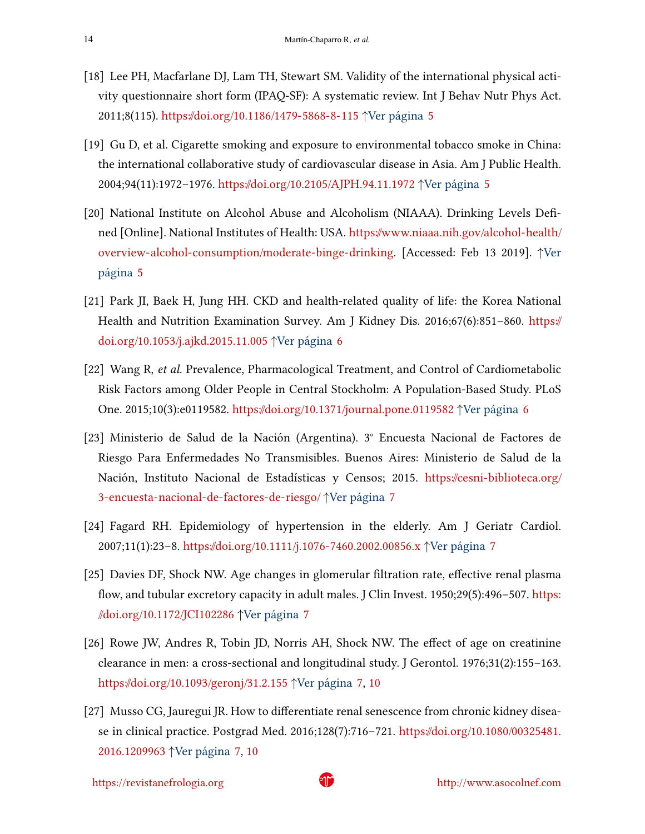- <span id="page-13-0"></span>[18] Lee PH, Macfarlane DJ, Lam TH, Stewart SM. Validity of the international physical activity questionnaire short form (IPAQ-SF): A systematic review. Int J Behav Nutr Phys Act. 2011;8(115). <https://doi.org/10.1186/1479-5868-8-115> ↑Ver página [5](#page-4-0)
- <span id="page-13-1"></span>[19] Gu D, et al. Cigarette smoking and exposure to environmental tobacco smoke in China: the international collaborative study of cardiovascular disease in Asia. Am J Public Health. 2004;94(11):1972–1976. <https://doi.org/10.2105/AJPH.94.11.1972> ↑Ver página [5](#page-4-0)
- <span id="page-13-2"></span>[20] National Institute on Alcohol Abuse and Alcoholism (NIAAA). Drinking Levels Defined [Online]. National Institutes of Health: USA. [https://www.niaaa.nih.gov/alcohol-health/](https://www.niaaa.nih.gov/alcohol-health/overview-alcohol-consumption/moderate-binge-drinking) [overview-alcohol-consumption/moderate-binge-drinking.](https://www.niaaa.nih.gov/alcohol-health/overview-alcohol-consumption/moderate-binge-drinking) [Accessed: Feb 13 2019]. ↑Ver página [5](#page-4-0)
- <span id="page-13-3"></span>[21] Park JI, Baek H, Jung HH. CKD and health-related quality of life: the Korea National Health and Nutrition Examination Survey. Am J Kidney Dis. 2016;67(6):851–860. [https://](https://doi.org/10.1053/j.ajkd.2015.11.005) [doi.org/10.1053/j.ajkd.2015.11.005](https://doi.org/10.1053/j.ajkd.2015.11.005) ↑Ver página [6](#page-5-0)
- <span id="page-13-4"></span>[22] Wang R, et al. Prevalence, Pharmacological Treatment, and Control of Cardiometabolic Risk Factors among Older People in Central Stockholm: A Population-Based Study. PLoS One. 2015;10(3):e0119582. <https://doi.org/10.1371/journal.pone.0119582> ↑Ver página [6](#page-5-0)
- <span id="page-13-5"></span>[23] Ministerio de Salud de la Nación (Argentina). 3° Encuesta Nacional de Factores de Riesgo Para Enfermedades No Transmisibles. Buenos Aires: Ministerio de Salud de la Nación, Instituto Nacional de Estadísticas y Censos; 2015. [https://cesni-biblioteca.org/](https://cesni-biblioteca.org/3-encuesta-nacional-de-factores-de-riesgo/) [3-encuesta-nacional-de-factores-de-riesgo/](https://cesni-biblioteca.org/3-encuesta-nacional-de-factores-de-riesgo/) ↑Ver página [7](#page-6-0)
- <span id="page-13-6"></span>[24] Fagard RH. Epidemiology of hypertension in the elderly. Am J Geriatr Cardiol. 2007;11(1):23–8. <https://doi.org/10.1111/j.1076-7460.2002.00856.x> ↑Ver página [7](#page-6-0)
- <span id="page-13-7"></span>[25] Davies DF, Shock NW. Age changes in glomerular filtration rate, effective renal plasma flow, and tubular excretory capacity in adult males. J Clin Invest.  $1950;29(5):496-507$ . [https:](https://doi.org/10.1172/JCI102286) [//doi.org/10.1172/JCI102286](https://doi.org/10.1172/JCI102286) ↑Ver página [7](#page-6-0)
- <span id="page-13-8"></span>[26] Rowe JW, Andres R, Tobin JD, Norris AH, Shock NW. The effect of age on creatinine clearance in men: a cross-sectional and longitudinal study. J Gerontol. 1976;31(2):155–163. <https://doi.org/10.1093/geronj/31.2.155> ↑Ver página [7,](#page-6-0) [10](#page-9-1)
- <span id="page-13-9"></span>[27] Musso CG, Jauregui JR. How to differentiate renal senescence from chronic kidney disease in clinical practice. Postgrad Med. 2016;128(7):716–721. [https://doi.org/10.1080/00325481.](https://doi.org/10.1080/00325481.2016.1209963) [2016.1209963](https://doi.org/10.1080/00325481.2016.1209963) ↑Ver página [7,](#page-6-0) [10](#page-9-1)